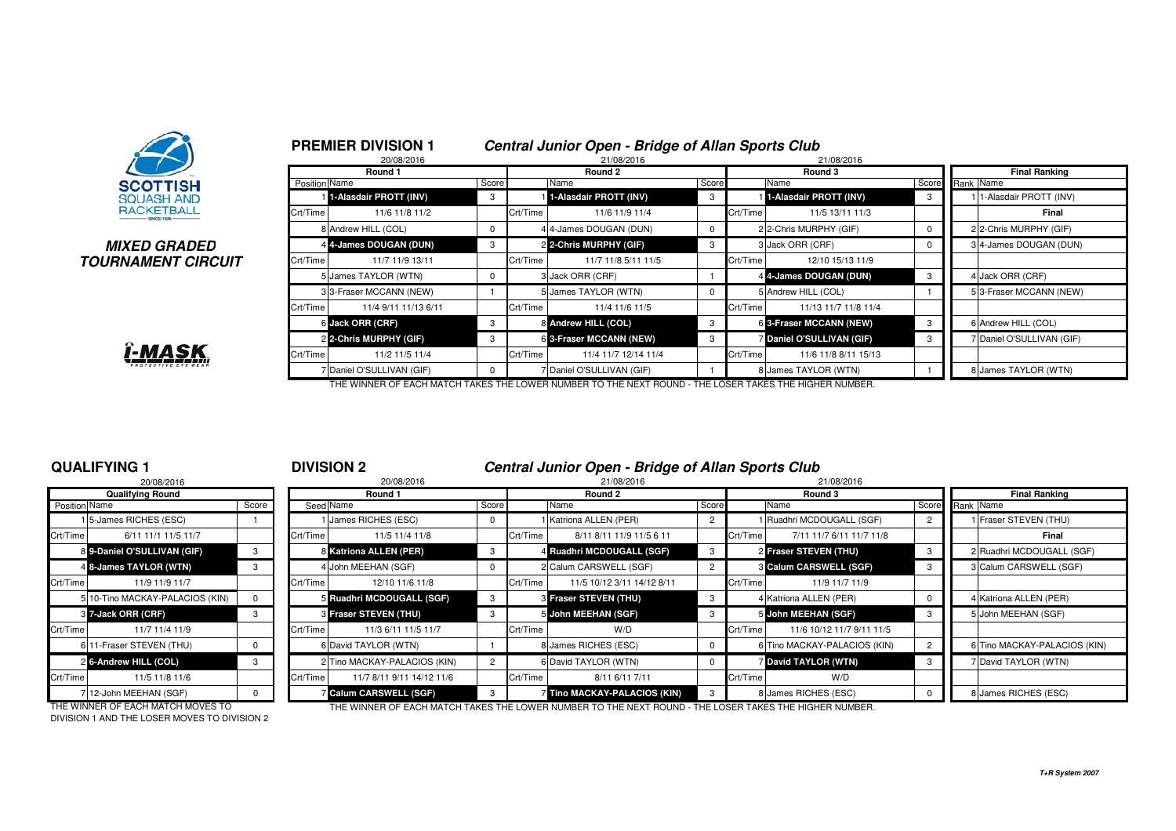

## **MIXED GRADEDTOURNAMENT CIRCUIT**



|               | <b>PREMIER DIVISION 1</b><br>20/08/2016 |          |          | Central Junior Open - Bridge of Allan Sports Club<br>21/08/2016 |       |          | 21/08/2016                |                      |  |                           |  |  |
|---------------|-----------------------------------------|----------|----------|-----------------------------------------------------------------|-------|----------|---------------------------|----------------------|--|---------------------------|--|--|
|               | Round 1                                 |          |          | Round 2                                                         |       |          | Round 3                   | <b>Final Ranking</b> |  |                           |  |  |
| Position Name |                                         | Score    |          | Name                                                            | Score |          | Name                      | Score                |  | Rank Name                 |  |  |
|               | 1-Alasdair PROTT (INV)                  | 3        |          | 1-Alasdair PROTT (INV)                                          | 3     |          | 1-Alasdair PROTT (INV)    | 3                    |  | 1-Alasdair PROTT (INV)    |  |  |
| Crt/Time      | 11/6 11/8 11/2                          |          | Crt/Time | 11/6 11/9 11/4                                                  |       | Crt/Time | 11/5 13/11 11/3           |                      |  | Final                     |  |  |
|               | 8 Andrew HILL (COL)                     | $\Omega$ |          | 4 4-James DOUGAN (DUN)                                          |       |          | 2 2-Chris MURPHY (GIF)    | $\Omega$             |  | 2 2-Chris MURPHY (GIF)    |  |  |
|               | 4 4-James DOUGAN (DUN)                  | 3        |          | 2 2-Chris MURPHY (GIF)                                          | 3     |          | 3 Jack ORR (CRF)          |                      |  | 34-James DOUGAN (DUN)     |  |  |
| Crt/Time      | 11/7 11/9 13/11                         |          | Crt/Time | 11/7 11/8 5/11 11/5                                             |       | Crt/Time | 12/10 15/13 11/9          |                      |  |                           |  |  |
|               | 5 James TAYLOR (WTN)                    | 0        |          | 3 Jack ORR (CRF)                                                |       |          | 4 4-James DOUGAN (DUN)    | 3                    |  | 4 Jack ORR (CRF)          |  |  |
|               | 3 3-Fraser MCCANN (NEW)                 |          |          | 5 James TAYLOR (WTN)                                            | 0     |          | 5 Andrew HILL (COL)       |                      |  | 5 3-Fraser MCCANN (NEW)   |  |  |
| Crt/Time      | 11/4 9/11 11/13 6/11                    |          | Crt/Time | 11/4 11/6 11/5                                                  |       | Crt/Time | 11/13 11/7 11/8 11/4      |                      |  |                           |  |  |
|               | 6 Jack ORR (CRF)                        | 3        |          | 8 Andrew HILL (COL)                                             | 3     |          | 6 3-Fraser MCCANN (NEW)   | 3                    |  | 6 Andrew HILL (COL)       |  |  |
|               | 2 2-Chris MURPHY (GIF)                  | 3        |          | 6 3-Fraser MCCANN (NEW)                                         | 3     |          | 7 Daniel O'SULLIVAN (GIF) | 3                    |  | 7 Daniel O'SULLIVAN (GIF) |  |  |
| Crt/Time      | 11/2 11/5 11/4                          |          | Crt/Time | 11/4 11/7 12/14 11/4                                            |       | Crt/Time | 11/6 11/8 8/11 15/13      |                      |  |                           |  |  |
|               | 7 Daniel O'SULLIVAN (GIF)               | $\Omega$ |          | Daniel O'SULLIVAN (GIF)                                         |       |          | 8 James TAYLOR (WTN)      |                      |  | 8 James TAYLOR (WTN)      |  |  |

THE WINNER OF EACH MATCH TAKES THE LOWER NUMBER TO THE NEXT ROUND - THE LOSER TAKES THE HIGHER NUMBER.

## **QUALIFYING 1**

|               | 20/08/2016                         |          |          |
|---------------|------------------------------------|----------|----------|
|               | <b>Qualifying Round</b>            |          |          |
| Position Name |                                    | Score    | Seed     |
|               | 1 <sup>5</sup> -James RICHES (ESC) |          |          |
| Crt/Time      | 6/11 11/1 11/5 11/7                |          | Crt/Time |
|               | 8 9-Daniel O'SULLIVAN (GIF)        | 3        | 8        |
|               | 4 8-James TAYLOR (WTN)             | 3        | 4        |
| Crt/Time      | 11/9 11/9 11/7                     |          | Crt/Time |
| 5             | 10-Tino MACKAY-PALACIOS (KIN)      | $\Omega$ | 5        |
|               | 3 7-Jack ORR (CRF)                 | 3        | 3        |
| Crt/Time      | 11/7 11/4 11/9                     |          | Crt/Time |
| 6             | 11-Fraser STEVEN (THU)             | O        | 6        |
|               | 2 6-Andrew HILL (COL)              | 3        | 2        |
| Crt/Time      | 11/5 11/8 11/6                     |          | Crt/Time |
|               | 7 12-John MEEHAN (SGF)             | n        |          |

| Central Junior Open - Bridge of Allan Sports Club<br>QUALIFYING 1<br><b>DIVISION 2</b> |                                 |       |          |                               |                |            |                              |              |          |                              |                      |                              |
|----------------------------------------------------------------------------------------|---------------------------------|-------|----------|-------------------------------|----------------|------------|------------------------------|--------------|----------|------------------------------|----------------------|------------------------------|
|                                                                                        | 20/08/2016                      |       |          | 20/08/2016                    |                | 21/08/2016 |                              |              |          | 21/08/2016                   |                      |                              |
|                                                                                        | Qualifying Round                |       |          | Round 1                       |                |            | Round 2                      | Round 3      |          |                              | <b>Final Ranking</b> |                              |
| Position Name                                                                          |                                 | Score |          | Seed Name                     | Score          |            | Name                         | Score        |          | Name                         |                      | Score Rank Name              |
|                                                                                        | 15-James RICHES (ESC)           |       |          | 1 James RICHES (ESC)          | $\mathbf 0$    |            | Katriona ALLEN (PER)         |              |          | 1 Ruadhri MCDOUGALL (SGF)    |                      | Fraser STEVEN (THU)          |
| Crt/Time                                                                               | 6/11 11/1 11/5 11/7             |       | Crt/Time | 11/5 11/4 11/8                |                | Crt/Time   | 8/11 8/11 11/9 11/5 6 11     |              | Crt/Time | 7/11 11/7 6/11 11/7 11/8     |                      | Final                        |
|                                                                                        | 8 9-Daniel O'SULLIVAN (GIF)     |       |          | 8 Katriona ALLEN (PER)        | 3              |            | 4 Ruadhri MCDOUGALL (SGF)    | -3           |          | 2 Fraser STEVEN (THU)        |                      | 2 Ruadhri MCDOUGALL (SGF)    |
|                                                                                        | 4 8-James TAYLOR (WTN)          |       |          | 4 John MEEHAN (SGF)           | $^{\circ}$     |            | 2 Calum CARSWELL (SGF)       |              |          | 3 Calum CARSWELL (SGF)       |                      | 3 Calum CARSWELL (SGF)       |
| Crt/Time                                                                               | 11/9 11/9 11/7                  |       | Crt/Time | 12/10 11/6 11/8               |                | Crt/Time   | 11/5 10/12 3/11 14/12 8/11   |              | Crt/Time | 11/9 11/7 11/9               |                      |                              |
|                                                                                        | 5 10-Tino MACKAY-PALACIOS (KIN) |       |          | 5 Ruadhri MCDOUGALL (SGF)     | 3              |            | 8 Fraser STEVEN (THU)        |              |          | 4 Katriona ALLEN (PER)       |                      | 4 Katriona ALLEN (PER)       |
|                                                                                        | 3 7-Jack ORR (CRF)              | -3    |          | <b>8 Fraser STEVEN (THU)</b>  | 3              |            | 5 John MEEHAN (SGF)          |              |          | 5 John MEEHAN (SGF)          | -3                   | 5 John MEEHAN (SGF)          |
| Crt/Time                                                                               | 11/7 11/4 11/9                  |       | Crt/Time | 11/3 6/11 11/5 11/7           |                | Crt/Time   | W/D                          |              | Crt/Time | 11/6 10/12 11/7 9/11 11/5    |                      |                              |
|                                                                                        | 6 11-Fraser STEVEN (THU)        |       |          | 6 David TAYLOR (WTN)          |                |            | 8 James RICHES (ESC)         |              |          | 6 Tino MACKAY-PALACIOS (KIN) |                      | 6 Tino MACKAY-PALACIOS (KIN) |
|                                                                                        | 2 6-Andrew HILL (COL)           | 3     |          | 2 Tino MACKAY-PALACIOS (KIN)  | $\overline{2}$ |            | 6 David TAYLOR (WTN)         |              |          | <b>David TAYLOR (WTN)</b>    | -3                   | 7 David TAYLOR (WTN)         |
| Crt/Time                                                                               | 11/5 11/8 11/6                  |       | Crt/Time | 11/7 8/11 9/11 14/12 11/6     |                | Crt/Time   | 8/11 6/11 7/11               |              | Crt/Time | W/D                          |                      |                              |
|                                                                                        | 712-John MEEHAN (SGF)           |       |          | <b>Z Calum CARSWELL (SGF)</b> | 3              |            | 7 Tino MACKAY-PALACIOS (KIN) | $\mathbf{3}$ |          | 8 James RICHES (ESC)         |                      | 8 James RICHES (ESC)         |

DIVISION 1 AND THE LOSER MOVES TO DIVISION 2

THE WINNER OF EACH MATCH MOVES TO THE WINNER OF EACH MATCH TAKES THE LOWER NUMBER TO THE NEXT ROUND - THE LOSER TAKES THE HIGHER NUMBER.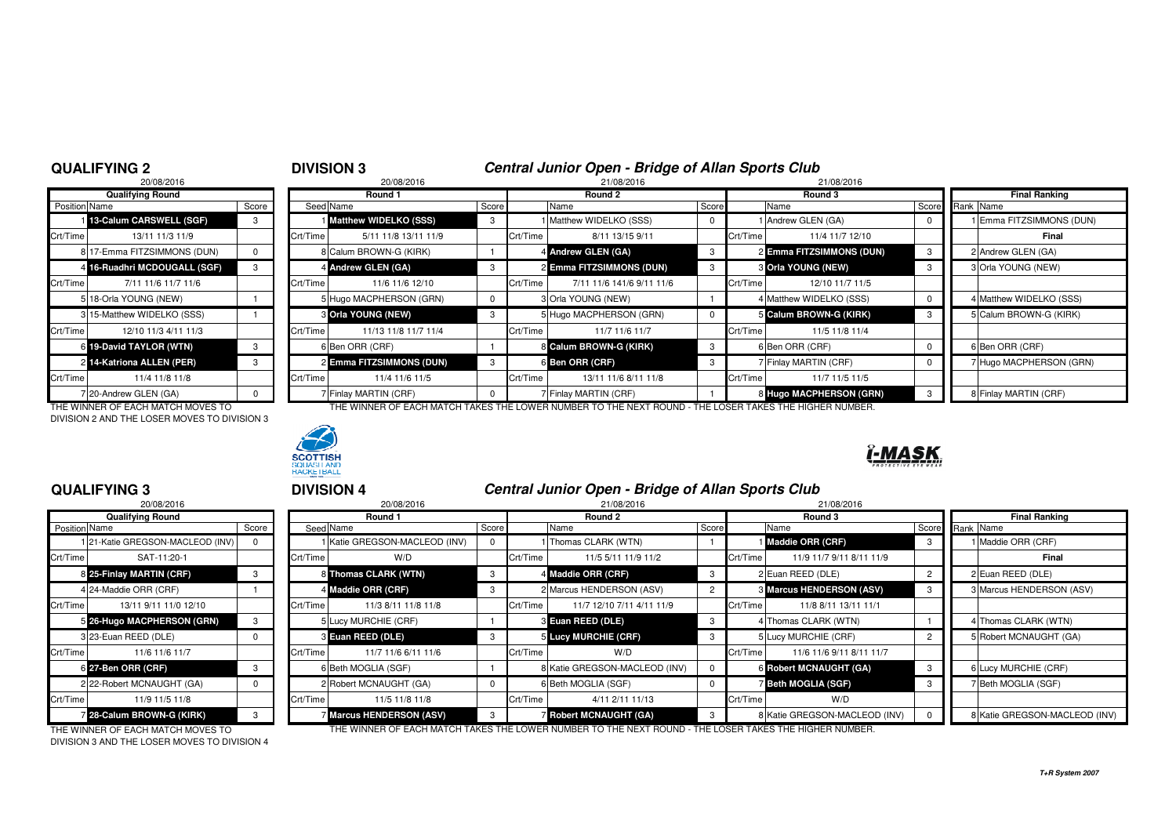# **DIVISION 3**<br><sup>20/08/2016</sup><br>21/08/2016<br>21/08/2016

|                      | 20/08/2016                   |       |          | 20/08/2016                   |       |          | 21/08/2016                |          | 21/08/2016 |                           |  |
|----------------------|------------------------------|-------|----------|------------------------------|-------|----------|---------------------------|----------|------------|---------------------------|--|
|                      | <b>Qualifying Round</b>      |       |          | Round 1                      |       |          | Round 2                   |          | Round 3    |                           |  |
| <b>Position Name</b> |                              | Score |          | Seed Name                    | Score |          | Name                      | Score    |            | Name                      |  |
|                      | 13-Calum CARSWELL (SGF)      | 3     |          | <b>Matthew WIDELKO (SSS)</b> | 3     |          | I Matthew WIDELKO (SSS)   | 0        |            | 1 Andrew GLEN (GA)        |  |
| Crt/Time             | 13/11 11/3 11/9              |       | Crt/Time | 5/11 11/8 13/11 11/9         |       | Crt/Time | 8/11 13/15 9/11           |          | Crt/Time   | 11/4 11/7 12/             |  |
|                      | 8 17-Emma FITZSIMMONS (DUN)  | 0     |          | 8 Calum BROWN-G (KIRK)       |       |          | 4 Andrew GLEN (GA)        | 3        |            | 2 Emma FITZSIMMONS        |  |
|                      | 4 16-Ruadhri MCDOUGALL (SGF) | 3     |          | 4 Andrew GLEN (GA)           | 3     |          | 2 Emma FITZSIMMONS (DUN)  | 3        |            | <b>3 Orla YOUNG (NEW)</b> |  |
| Crt/Time             | 7/11 11/6 11/7 11/6          |       | Crt/Time | 11/6 11/6 12/10              |       | Crt/Time | 7/11 11/6 141/6 9/11 11/6 |          | Crt/Time   | 12/10 11/7 11             |  |
|                      | 5 18-Orla YOUNG (NEW)        |       |          | 5 Hugo MACPHERSON (GRN)      | 0     |          | 3 Orla YOUNG (NEW)        |          |            | 4 Matthew WIDELKO (SS     |  |
|                      | 3 15-Matthew WIDELKO (SSS)   |       |          | 3 Orla YOUNG (NEW)           | 3     |          | 5 Hugo MACPHERSON (GRN)   | $\Omega$ |            | 5 Calum BROWN-G (KIR      |  |
| Crt/Time             | 12/10 11/3 4/11 11/3         |       | Crt/Time | 11/13 11/8 11/7 11/4         |       | Crt/Time | 11/7 11/6 11/7            |          | Crt/Time   | 11/5 11/8 11              |  |
|                      | 6 19-David TAYLOR (WTN)      | 3     |          | 6 Ben ORR (CRF)              |       |          | 8 Calum BROWN-G (KIRK)    | 3        |            | 6 Ben ORR (CRF)           |  |
|                      | 2 14-Katriona ALLEN (PER)    | 3     |          | 2 Emma FITZSIMMONS (DUN)     | з     |          | 6 Ben ORR (CRF)           | 3        |            | 7 Finlay MARTIN (CRF)     |  |
| Crt/Time             | 11/4 11/8 11/8               |       | Crt/Time | 11/4 11/6 11/5               |       | Crt/Time | 13/11 11/6 8/11 11/8      |          | Crt/Time   | 11/7 11/5 11              |  |
|                      | 7 20-Andrew GLEN (GA)        | 0     |          | 7 Finlay MARTIN (CRF)        |       |          | 7 Finlay MARTIN (CRF)     |          |            | 8 Hugo MACPHERSON (       |  |

DIVISION 2 AND THE LOSER MOVES TO DIVISION 3



### **Round 1 Round 2 Round 3 Final Ranking** Name Score Seed Name Score Name Score Name Score Rank Name **1 13-Calum CARSWELL (SGF)** 3 1 **Matthew WIDELKO (SSS)** 3 1 Matthew WIDELKO (SSS) 0 1 Andrew GLEN (GA) 0 1 Emma FITZSIMMONS (DUN) Crt/Time 5/11 11/8 13/11 11/9 9 Crt/Time 8/11 13/15 9/11 Crt/Time 11/4 11/7 12/10 **Final** 8 Calum BROWN-G (KIRK) 1 4 Andrew GLEN (GA) **Andrew GLEN (GA) 2 Emma FITZSIMMONS (DUN)** 3 2 Andrew GLEN (GA) **16-Ruadhri MCDOUGALL (SGF)** <sup>3</sup> <sup>4</sup> **Andrew GLEN (GA)** <sup>3</sup> <sup>2</sup> **Emma FITZSIMMONS (DUN)** <sup>3</sup> <sup>3</sup> **Orla YOUNG (NEW)** <sup>3</sup> <sup>3</sup> Orla YOUNG (NEW) <sup>2</sup>Crt/Time 7/11 11/6 11/7 11/6 Crt/Time 11/6 11/6 12/10 Crt/Time 7/11 11/6 141/6 9/11 11/6 Crt/Time 12/10 11/7 11/55|18-Orla YOUNG (NEW) | 1 | | 5|Hugo MACPHERSON (GRN) | 0 | 3|Orla YOUNG (NEW) | 1 | 4 |Matthew WIDELKO (SSS) | 0 || 4|Matthew WIDELKO (SSS)  $\overline{\phantom{a}}$ **Cria YOUNG (NEW)** 3 3 5 Hugo MACPHERSON (GRN) 0 5 Calum BROWN-G (KIRK) 3 5 Calum BROWN-G (KIRK) Crt/Time 12/10 11/3 4/11 11/3 Crt/Time 11/13 11/8 11/7 11/4 Crt/Time 11/7 11/6 11/7 Crt/Time 11/5 11/8 11/4 **19-David TAYLOR (WTN)** <sup>3</sup> <sup>6</sup> Ben ORR (CRF) <sup>1</sup> <sup>8</sup> **Calum BROWN-G (KIRK)** <sup>3</sup> <sup>6</sup> Ben ORR (CRF) <sup>0</sup> <sup>6</sup> Ben ORR (CRF) **14-Katriona ALLEN (PER)** <sup>3</sup> <sup>2</sup> **Emma FITZSIMMONS (DUN)** <sup>3</sup> <sup>6</sup> **Ben ORR (CRF)** <sup>3</sup> <sup>7</sup> Finlay MARTIN (CRF) <sup>0</sup> <sup>7</sup> Hugo MACPHERSON (GRN) Crt/Time 11/4 11/8 11/8 Crt/Time 11/4 11/6 11/5 Crt/Time 13/11 11/6 8/11 11/8 Crt/Time 11/7 11/5 11/58 Hugo MACPHERSON (GRN) 3 8 Finlay MARTIN (CRF) 7|20-Andrew GLEN (GA) | 0 | 7|Finlay MARTIN (CRF) | 0 | 7|Finlay MARTIN (CRF) | 1 | 8|

THE WINNER OF EACH MATCH MOVES TO THE WINNER OF EACH MATCH TAKES THE LOWER NUMBER TO THE NEXT ROUND - THE LOSER TAKES THE HIGHER NUMBER.



## **QUALIFYING 3**

|               | <b>Qualifying Round</b>          |          |          |
|---------------|----------------------------------|----------|----------|
| Position Name |                                  | Score    | Seed     |
|               | 1 21-Katie GREGSON-MACLEOD (INV) | 0        |          |
| Crt/Time      | SAT-11:20-1                      |          | Crt/Time |
|               | 8 25-Finlay MARTIN (CRF)         | 3        | 8        |
|               | 4 24-Maddie ORR (CRF)            |          | 4        |
| Crt/Time      | 13/11 9/11 11/0 12/10            |          | Crt/Time |
|               | 5 26-Hugo MACPHERSON (GRN)       | 3        | 5        |
|               | 323-Euan REED (DLE)              | $\Omega$ | 3        |
| Crt/Time      | 11/6 11/6 11/7                   |          | Crt/Time |
|               | 6 27-Ben ORR (CRF)               | 3        | 6        |
|               | 2 22-Robert MCNAUGHT (GA)        | $\Omega$ | 2        |
| Crt/Time      | 11/9 11/5 11/8                   |          | Crt/Time |
|               | 28-Calum BROWN-G (KIRK)          | 3        |          |

## <sup>3</sup> **DIVISION 4 Central Junior Open - Bridge of Allan Sports Club**

| 20/08/2016                        |       |                                  | 20/08/2016          |                                                                                                                                                                                                                                                                  | 21/08/2016<br>21/08/2016 |                           |                                                                                                                                                                                                                        |  |                               |                                                                                                                                                                                                                                         |                               |
|-----------------------------------|-------|----------------------------------|---------------------|------------------------------------------------------------------------------------------------------------------------------------------------------------------------------------------------------------------------------------------------------------------|--------------------------|---------------------------|------------------------------------------------------------------------------------------------------------------------------------------------------------------------------------------------------------------------|--|-------------------------------|-----------------------------------------------------------------------------------------------------------------------------------------------------------------------------------------------------------------------------------------|-------------------------------|
| <b>Qualifying Round</b>           |       |                                  | Round 1             |                                                                                                                                                                                                                                                                  |                          | Round 2                   |                                                                                                                                                                                                                        |  | Round 3                       |                                                                                                                                                                                                                                         | <b>Final Ranking</b>          |
| Position Name                     | Score |                                  |                     | Score                                                                                                                                                                                                                                                            |                          | Name                      |                                                                                                                                                                                                                        |  | Name                          |                                                                                                                                                                                                                                         | Score Rank Name               |
|                                   |       |                                  |                     | $\mathbf 0$                                                                                                                                                                                                                                                      |                          |                           |                                                                                                                                                                                                                        |  |                               |                                                                                                                                                                                                                                         | Maddie ORR (CRF)              |
| Crt/Time<br>SAT-11:20-1           |       |                                  | W/D                 |                                                                                                                                                                                                                                                                  | Crt/Time                 | 11/5 5/11 11/9 11/2       |                                                                                                                                                                                                                        |  | 11/9 11/7 9/11 8/11 11/9      |                                                                                                                                                                                                                                         | Final                         |
| 8 25-Finlay MARTIN (CRF)          |       |                                  |                     | 3                                                                                                                                                                                                                                                                |                          |                           | -3                                                                                                                                                                                                                     |  |                               |                                                                                                                                                                                                                                         | 2 Euan REED (DLE)             |
| 4 24-Maddie ORR (CRF)             |       |                                  |                     | -3                                                                                                                                                                                                                                                               |                          |                           |                                                                                                                                                                                                                        |  |                               |                                                                                                                                                                                                                                         | 3 Marcus HENDERSON (ASV)      |
| Crt/Time<br>13/11 9/11 11/0 12/10 |       |                                  | 11/3 8/11 11/8 11/8 |                                                                                                                                                                                                                                                                  | Crt/Time                 | 11/7 12/10 7/11 4/11 11/9 |                                                                                                                                                                                                                        |  | 11/8 8/11 13/11 11/1          |                                                                                                                                                                                                                                         |                               |
| 5 26-Hugo MACPHERSON (GRN)        |       |                                  |                     |                                                                                                                                                                                                                                                                  |                          |                           | - 3                                                                                                                                                                                                                    |  |                               |                                                                                                                                                                                                                                         | 1 Thomas CLARK (WTN)          |
| 3 23-Euan REED (DLE)              |       |                                  |                     |                                                                                                                                                                                                                                                                  |                          |                           |                                                                                                                                                                                                                        |  |                               |                                                                                                                                                                                                                                         | 5 Robert MCNAUGHT (GA)        |
| Crt/Time<br>11/6 11/6 11/7        |       |                                  | 11/7 11/6 6/11 11/6 |                                                                                                                                                                                                                                                                  | Crt/Time                 | W/D                       |                                                                                                                                                                                                                        |  | 11/6 11/6 9/11 8/11 11/7      |                                                                                                                                                                                                                                         |                               |
| 6 27-Ben ORR (CRF)                | -3    |                                  |                     |                                                                                                                                                                                                                                                                  |                          |                           |                                                                                                                                                                                                                        |  |                               |                                                                                                                                                                                                                                         | 6 Lucy MURCHIE (CRF)          |
| 2 22-Robert MCNAUGHT (GA)         |       |                                  |                     | $\mathbf{0}$                                                                                                                                                                                                                                                     |                          |                           |                                                                                                                                                                                                                        |  |                               |                                                                                                                                                                                                                                         | 7 Beth MOGLIA (SGF)           |
| Crt/Time I<br>11/9 11/5 11/8      |       |                                  | 11/5 11/8 11/8      |                                                                                                                                                                                                                                                                  |                          | 4/11 2/11 11/13           |                                                                                                                                                                                                                        |  | W/D                           |                                                                                                                                                                                                                                         |                               |
| 28-Calum BROWN-G (KIRK)           |       |                                  |                     | $\mathcal{R}$                                                                                                                                                                                                                                                    |                          |                           |                                                                                                                                                                                                                        |  |                               |                                                                                                                                                                                                                                         | 8 Katie GREGSON-MACLEOD (INV) |
|                                   |       | 1 21-Katie GREGSON-MACLEOD (INV) |                     | Seed Name<br>1 Katie GREGSON-MACLEOD (INV)<br>Crt/Time<br>8 Thomas CLARK (WTN)<br>4 Maddie ORR (CRF)<br>Crt/Time<br>5 Lucy MURCHIE (CRF)<br>3 Euan REED (DLE)<br>Crt/Time<br>6 Beth MOGLIA (SGF)<br>2 Robert MCNAUGHT (GA)<br>Crt/Time<br>Marcus HENDERSON (ASV) |                          |                           | 1 Thomas CLARK (WTN)<br>4 Maddie ORR (CRF)<br>2 Marcus HENDERSON (ASV)<br>3 Euan REED (DLE)<br>5 Lucy MURCHIE (CRF)<br>8 Katie GREGSON-MACLEOD (INV)<br>6 Beth MOGLIA (SGF)<br>Crt/Time<br><b>Robert MCNAUGHT (GA)</b> |  | Score<br>Crt/Time<br>Crt/Time | Maddie ORR (CRF)<br>Crt/Time<br>2 Euan REED (DLE)<br><b>3 Marcus HENDERSON (ASV)</b><br>4 Thomas CLARK (WTN)<br>5 Lucy MURCHIE (CRF)<br>Crt/Time<br><b>6 Robert MCNAUGHT (GA)</b><br>Beth MOGLIA (SGF)<br>8 Katie GREGSON-MACLEOD (INV) |                               |

THE WINNER OF EACH MATCH MOVES TO THE WINNER OF EACH MATCH TAKES THE LOWER NUMBER TO THE NEXT ROUND - THE LOSER TAKES THE HIGHER NUMBER.

DIVISION 3 AND THE LOSER MOVES TO DIVISION 4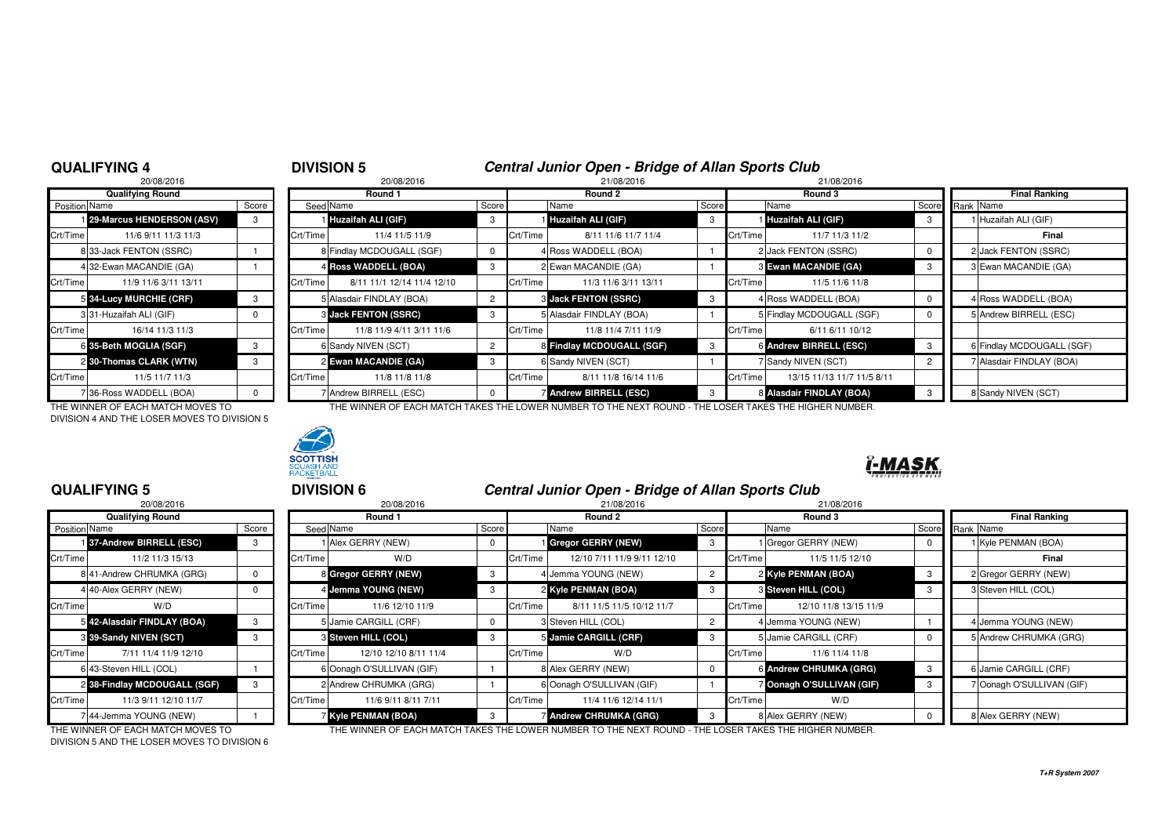# **DIVISION 5**<br><sup>20/08/2016</sup> **Central Junior Open - Bridge of Allan Sports Club**<br><sup>21/08/2016</sup>

|               | 20/08/2016<br>20/08/2016<br>21/08/2016<br>21/08/2016 |          |          |                             |       |          |                             |       |          |                            |     |                 |                           |
|---------------|------------------------------------------------------|----------|----------|-----------------------------|-------|----------|-----------------------------|-------|----------|----------------------------|-----|-----------------|---------------------------|
|               | <b>Qualifying Round</b>                              |          |          | Round 1                     |       |          | Round 2                     |       |          | Round 3                    |     |                 | <b>Final Ranking</b>      |
| Position Name |                                                      | Score    |          | Seed Name                   | Score |          | Name                        | Score |          | Name                       |     | Score Rank Name |                           |
|               | 29-Marcus HENDERSON (ASV)                            | 3        |          | <b>Huzaifah ALI (GIF)</b>   | -3    |          | Huzaifah ALI (GIF)          | -3    |          | Huzaifah ALI (GIF)         | - 3 |                 | 1 Huzaifah ALI (GIF)      |
| Crt/Time      | 11/6 9/11 11/3 11/3                                  |          | Crt/Time | 11/4 11/5 11/9              |       | Crt/Time | 8/11 11/6 11/7 11/4         |       | Crt/Time | 11/7 11/3 11/2             |     |                 | Final                     |
|               | 8 33-Jack FENTON (SSRC)                              |          |          | 8 Findlay MCDOUGALL (SGF)   |       |          | 4 Ross WADDELL (BOA)        |       |          | 2 Jack FENTON (SSRC)       |     |                 | 2 Jack FENTON (SSRC)      |
|               | 4 32-Ewan MACANDIE (GA)                              |          |          | 4 Ross WADDELL (BOA)        | -3    |          | 2 Ewan MACANDIE (GA)        |       |          | 3 Ewan MACANDIE (GA)       | -3  |                 | 3 Ewan MACANDIE (GA)      |
| Crt/Time      | 11/9 11/6 3/11 13/11                                 |          | Crt/Time | 8/11 11/1 12/14 11/4 12/10  |       | Crt/Time | 11/3 11/6 3/11 13/11        |       | Crt/Time | 11/5 11/6 11/8             |     |                 |                           |
|               | 5 34-Lucy MURCHIE (CRF)                              | -3       |          | 5 Alasdair FINDLAY (BOA)    | 2     |          | <b>3 Jack FENTON (SSRC)</b> | 3     |          | 4 Ross WADDELL (BOA)       |     |                 | 4 Ross WADDELL (BOA)      |
|               | 331-Huzaifah ALI (GIF)                               |          |          | <b>3 Jack FENTON (SSRC)</b> | -3    |          | 5 Alasdair FINDLAY (BOA)    |       |          | 5 Findlay MCDOUGALL (SGF)  |     |                 | 5 Andrew BIRRELL (ESC)    |
| Crt/Time      | 16/14 11/3 11/3                                      |          | Crt/Time | 11/8 11/9 4/11 3/11 11/6    |       | Crt/Time | 11/8 11/4 7/11 11/9         |       | Crt/Time | 6/11 6/11 10/12            |     |                 |                           |
|               | 6 35-Beth MOGLIA (SGF)                               | 3        |          | 6 Sandy NIVEN (SCT)         |       |          | 8 Findlay MCDOUGALL (SGF)   |       |          | 6 Andrew BIRRELL (ESC)     | 3   |                 | 6 Findlay MCDOUGALL (SGF) |
|               | 2 30-Thomas CLARK (WTN)                              | 3        |          | 2 Ewan MACANDIE (GA)        |       |          | 6 Sandy NIVEN (SCT)         |       |          | 7 Sandy NIVEN (SCT)        |     |                 | 7 Alasdair FINDLAY (BOA)  |
| Crt/Time      | 11/5 11/7 11/3                                       |          | Crt/Time | 11/8 11/8 11/8              |       | Crt/Time | 8/11 11/8 16/14 11/6        |       | Crt/Time | 13/15 11/13 11/7 11/5 8/11 |     |                 |                           |
|               | 7 36-Ross WADDELL (BOA)                              | $\Omega$ |          | 7 Andrew BIRRELL (ESC)      |       |          | <b>Andrew BIRRELL (ESC)</b> |       |          | 8 Alasdair FINDLAY (BOA)   |     |                 | 8 Sandy NIVEN (SCT)       |

DIVISION 4 AND THE LOSER MOVES TO DIVISION 5



### 7 Andrew BIRRELL (ESC) 0 7 Andrew BIRRELL (ESC) **Andrew BIRRELL (BOA)** 3 8 Sandy NIVEN (SCT) THE WINNER OF EACH MATCH MOVES TO THE WINNER OF EACH MATCH TAKES THE LOWER NUMBER TO THE NEXT ROUND - THE LOSER TAKES THE HIGHER NUMBER.

<sup>5</sup> **DIVISION 6 Central Junior Open - Bridge of Allan Sports Club**

## ĭ-MASK

## **QUALIFYING 5**

|               | 20/08/2016                   |       |          |
|---------------|------------------------------|-------|----------|
|               | <b>Qualifying Round</b>      |       |          |
| Position Name |                              | Score | Seed     |
|               | 137-Andrew BIRRELL (ESC)     | 3     |          |
| Crt/Time      | 11/2 11/3 15/13              |       | Crt/Time |
|               | 8 41-Andrew CHRUMKA (GRG)    | 0     | 8        |
|               | 4 40-Alex GERRY (NEW)        | 0     | 4        |
| Crt/Time      | W/D                          |       | Crt/Time |
|               | 5 42-Alasdair FINDLAY (BOA)  | 3     | 5        |
|               | 8 39-Sandy NIVEN (SCT)       | 3     | 3        |
| Crt/Time      | 7/11 11/4 11/9 12/10         |       | Crt/Time |
|               | 6 43-Steven HILL (COL)       |       | 6        |
|               | 2 38-Findlay MCDOUGALL (SGF) | 3     | 2        |
| Crt/Time      | 11/3 9/11 12/10 11/7         |       | Crt/Time |
|               | 744-Jemma YOUNG (NEW)        |       |          |

| 20/08/2016<br>20/08/2016           |       |          |                            | 21/08/2016<br>21/08/2016 |          |                             |       |          |                         |       |                           |
|------------------------------------|-------|----------|----------------------------|--------------------------|----------|-----------------------------|-------|----------|-------------------------|-------|---------------------------|
| <b>Qualifying Round</b>            |       |          | Round 1                    |                          |          | Round 2                     |       | Round 3  |                         |       | <b>Final Ranking</b>      |
| Position Name                      | Score |          | Seed Name                  | Score                    |          | Name                        | Score |          | Name                    | Score | Rank Name                 |
| 137-Andrew BIRRELL (ESC)           | 3     |          | 1 Alex GERRY (NEW)         | $\mathbf 0$              |          | Gregor GERRY (NEW)          |       |          | 1 Gregor GERRY (NEW)    |       | 1 Kyle PENMAN (BOA)       |
| Crt/Time<br>11/2 11/3 15/13        |       | Crt/Time | W/D                        |                          | Crt/Time | 12/10 7/11 11/9 9/11 12/10  |       | Crt/Time | 11/5 11/5 12/10         |       | Final                     |
| 8 41-Andrew CHRUMKA (GRG)          |       |          | 8 Gregor GERRY (NEW)       | 3                        |          | 4 Jemma YOUNG (NEW)         |       |          | 2 Kyle PENMAN (BOA)     | -3    | 2 Gregor GERRY (NEW)      |
| 4 40-Alex GERRY (NEW)              |       |          | 4 Jemma YOUNG (NEW)        | 3                        |          | 2 Kyle PENMAN (BOA)         |       |          | 3 Steven HILL (COL)     |       | 3 Steven HILL (COL)       |
| Crt/Time<br>W/D                    |       | Crt/Time | 11/6 12/10 11/9            |                          | Crt/Time | 8/11 11/5 11/5 10/12 11/7   |       | Crt/Time | 12/10 11/8 13/15 11/9   |       |                           |
| 5 42-Alasdair FINDLAY (BOA)        |       |          | 5 Jamie CARGILL (CRF)      | $\mathbf 0$              |          | 3 Steven HILL (COL)         |       |          | 4 Jemma YOUNG (NEW)     |       | I Jemma YOUNG (NEW)       |
| 3 39-Sandy NIVEN (SCT)             |       |          | 3 Steven HILL (COL)        | 3                        |          | 5 Jamie CARGILL (CRF)       | -3    |          | 5 Jamie CARGILL (CRF)   |       | 5 Andrew CHRUMKA (GRG)    |
| Crt/Time  <br>7/11 11/4 11/9 12/10 |       | Crt/Time | 12/10 12/10 8/11 11/4      |                          | Crt/Time | W/D                         |       | Crt/Time | 11/6 11/4 11/8          |       |                           |
| 6 43-Steven HILL (COL)             |       |          | 6 Oonagh O'SULLIVAN (GIF)  |                          |          | 8 Alex GERRY (NEW)          |       |          | 6 Andrew CHRUMKA (GRG)  | -3    | 6 Jamie CARGILL (CRF)     |
| 2 38-Findlay MCDOUGALL (SGF)       | 3     |          | 2 Andrew CHRUMKA (GRG)     |                          |          | 6 Oonagh O'SULLIVAN (GIF)   |       |          | Oonagh O'SULLIVAN (GIF) |       | 7 Oonagh O'SULLIVAN (GIF) |
| Crt/Time  <br>11/3 9/11 12/10 11/7 |       | Crt/Time | 11/6 9/11 8/11 7/11        |                          | Crt/Time | 11/4 11/6 12/14 11/1        |       | Crt/Time | W/D                     |       |                           |
| 744-Jemma YOUNG (NEW)              |       |          | <b>7 Kyle PENMAN (BOA)</b> | 3                        |          | <b>Andrew CHRUMKA (GRG)</b> | -3    |          | 8 Alex GERRY (NEW)      |       | 8 Alex GERRY (NEW)        |

THE WINNER OF EACH MATCH MOVES TO DIVISION 5 AND THE LOSER MOVES TO DIVISION 6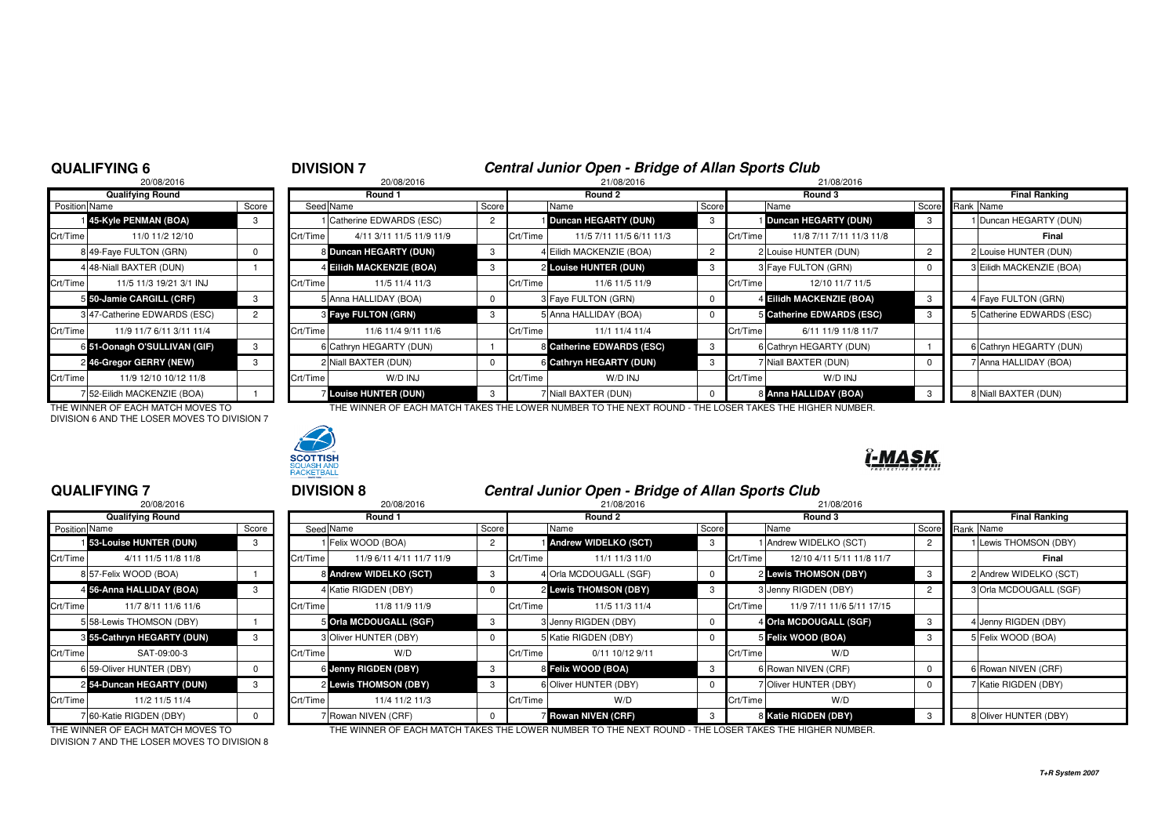# **DIVISION 7**<br><sup>20/08/2016</sup> **Central Junior Open - Bridge of Allan Sports Club**<br>21/08/2016

|               | 20/08/2016                   |       |          | 20/08/2016                   |       |          | 21/08/2016                |       | 21/08/2016 |                           |  |
|---------------|------------------------------|-------|----------|------------------------------|-------|----------|---------------------------|-------|------------|---------------------------|--|
|               | <b>Qualifying Round</b>      |       |          | Round 1                      |       |          | Round 2                   |       | Round 3    |                           |  |
| Position Name |                              | Score |          | Seed Name                    | Score |          | Name                      | Score |            | Name                      |  |
|               | 145-Kyle PENMAN (BOA)        | 3     |          | Catherine EDWARDS (ESC)      | 2     |          | Duncan HEGARTY (DUN)      | 3     |            | <b>Duncan HEGARTY (DL</b> |  |
| Crt/Time      | 11/0 11/2 12/10              |       | Crt/Time | 4/11 3/11 11/5 11/9 11/9     |       | Crt/Time | 11/5 7/11 11/5 6/11 11/3  |       | Crt/Time   | 11/8 7/11 7/11 11         |  |
|               | 8 49-Faye FULTON (GRN)       | 0     |          | 8 Duncan HEGARTY (DUN)       | 3     |          | 4 Eilidh MACKENZIE (BOA)  | 2     |            | 2 Louise HUNTER (DUN)     |  |
|               | 4 48-Niall BAXTER (DUN)      |       |          | 4 Eilidh MACKENZIE (BOA)     |       |          | 2 Louise HUNTER (DUN)     | 3     |            | 3 Faye FULTON (GRN)       |  |
| Crt/Time      | 11/5 11/3 19/21 3/1 INJ      |       | Crt/Time | 11/5 11/4 11/3               |       | Crt/Time | 11/6 11/5 11/9            |       | Crt/Time   | 12/10 11/7 11             |  |
|               | 5 50-Jamie CARGILL (CRF)     | 3     |          | 5 Anna HALLIDAY (BOA)        | 0     |          | 3 Faye FULTON (GRN)       | 0     |            | 4 Eilidh MACKENZIE (BO    |  |
|               | 3 47-Catherine EDWARDS (ESC) | 2     |          | 3 Faye FULTON (GRN)          | 3     |          | 5 Anna HALLIDAY (BOA)     | 0     |            | 5 Catherine EDWARDS (     |  |
| Crt/Time      | 11/9 11/7 6/11 3/11 11/4     |       | Crt/Time | 11/6 11/4 9/11 11/6          |       | Crt/Time | 11/1 11/4 11/4            |       | Crt/Time   | 6/11 11/9 11/8            |  |
|               | 6 51-Oonagh O'SULLIVAN (GIF) | 3     |          | 6 Cathryn HEGARTY (DUN)      |       |          | 8 Catherine EDWARDS (ESC) | 3     |            | 6 Cathryn HEGARTY (DU     |  |
|               | 2 46-Gregor GERRY (NEW)      | 3     |          | 2 Niall BAXTER (DUN)         | 0     |          | 6 Cathryn HEGARTY (DUN)   | з     |            | 7 Niall BAXTER (DUN)      |  |
| Crt/Time      | 11/9 12/10 10/12 11/8        |       | Crt/Time | W/D INJ                      |       | Crt/Time | W/D INJ                   |       | Crt/Time   | W/D INJ                   |  |
|               | 7 52-Eilidh MACKENZIE (BOA)  |       |          | <b>7 Louise HUNTER (DUN)</b> |       |          | 7 Niall BAXTER (DUN)      | 0     |            | 8 Anna HALLIDAY (BOA)     |  |

DIVISION 6 AND THE LOSER MOVES TO DIVISION 7



## **Round 1 Round 2 Round 3 Final Ranking** Name Score Seed Name Score Name Score Name Score Rank Name **45-Kyle PENMAN (BOA)** <sup>3</sup> <sup>1</sup> Catherine EDWARDS (ESC) <sup>2</sup> <sup>1</sup> **Duncan HEGARTY (DUN)** <sup>3</sup> <sup>1</sup> **Duncan HEGARTY (DUN)** <sup>3</sup> <sup>1</sup> Duncan HEGARTY (DUN) <sup>1</sup>Crt/Time 4/11 3/11 11/5 11/9 11/9 Crt/Time 11/5 7/11 11/5 6/11 11/3 Crt/Time 11/8 7/11 7/11 11/3 11/8 **8 Final** 8 **Duncan HEGARTY (DUN)** 3 4 4 Eilidh MACKENZIE (BOA) 2 2 2 2 LOuise HUNTER (DUN) 2 2 2 LOuise HUNTER (DUN) 2 2 2 2 LOUISE HUNTER (DUN) 4 Eilidh MACKENZIE (BOA) 3 2 Louise HUNTER (DUN) 3 3 Faye FULTON (GRN) 3 Eilidh MACKENZIE (BOA) Crt/Time 11/5 11/3 19/21 3/1 INJ Crt/Time 11/5 11/4 11/3 Crt/Time 11/6 11/5 11/9 Crt/Time 12/10 11/7 11/5**5 50-Jamie CARGILL (CRF)** 3 5 Anna HALLIDAY (BOA) 0 3 Faye FULTON (GRN) 0 4 **Eilidh MACKENZIE (BOA)** 3 4 Faye FULTON (GRN) 3 4 Faye FULTON (GRN) **Faye FULTON (GRN)** 3 3 5 Anna HALLIDAY (BOA) 3 5 Catherine EDWARDS (ESC) 3 5 Catherine EDWARDS (ESC) Crt/Time 11/9 11/7 6/11 3/11 11/4 Crt/Time 11/6 11/4 9/11 11/6 Crt/Time 11/1 11/4 11/4 Crt/Time 6/11 11/9 11/8 11/7 **51-Oonagh O'SULLIVAN (GIF)** <sup>3</sup> <sup>6</sup> Cathryn HEGARTY (DUN) <sup>1</sup> <sup>8</sup> **Catherine EDWARDS (ESC)** <sup>3</sup> <sup>6</sup> Cathryn HEGARTY (DUN) <sup>1</sup> <sup>6</sup> Cathryn HEGARTY (DUN) **46-Gregor GERRY (NEW)** <sup>3</sup> <sup>2</sup> Niall BAXTER (DUN) <sup>0</sup> <sup>6</sup> **Cathryn HEGARTY (DUN)** <sup>3</sup> <sup>7</sup> Niall BAXTER (DUN) <sup>0</sup> <sup>7</sup> Anna HALLIDAY (BOA) Crt/Time 11/9 12/10 10/12 11/8 Crt/Time W/D INJ Crt/Time W/D INJ Crt/Time W/D INJ **Louise HUNTER (DUN)** <sup>3</sup> <sup>7</sup> Niall BAXTER (DUN) <sup>0</sup> <sup>8</sup> **Anna HALLIDAY (BOA)** <sup>3</sup> <sup>8</sup> Niall BAXTER (DUN)

THE WINNER OF EACH MATCH MOVES TO THE WINNER OF EACH MATCH TAKES THE LOWER NUMBER TO THE NEXT ROUND - THE LOSER TAKES THE HIGHER NUMBER.

## **QUALIFYING 7**

|               | 20/08/2016                     |       |          |
|---------------|--------------------------------|-------|----------|
|               | <b>Qualifying Round</b>        |       |          |
| Position Name |                                | Score | Seed     |
|               | <b>153-Louise HUNTER (DUN)</b> | 3     |          |
| Crt/Time      | 4/11 11/5 11/8 11/8            |       | Crt/Time |
|               | 8 57-Felix WOOD (BOA)          |       | 8        |
|               | 4 56-Anna HALLIDAY (BOA)       | 3     | 4        |
| Crt/Time      | 11/7 8/11 11/6 11/6            |       | Crt/Time |
|               | 5 58-Lewis THOMSON (DBY)       |       | 5        |
|               | 8 55-Cathryn HEGARTY (DUN)     | 3     | 3        |
| Crt/Time      | SAT-09:00-3                    |       | Crt/Time |
|               | 6 59-Oliver HUNTER (DBY)       | 0     | 6        |
|               | 254-Duncan HEGARTY (DUN)       | 3     | 2        |
| Crt/Time      | 11/2 11/5 11/4                 |       | Crt/Time |
|               | 60-Katie RIGDEN (DBY)          | n     |          |

**DIVISION 8**<br><sup>20/08/2016</sup><br>21/08/2016<br>21/08/2016 <sup>8</sup> 20/08/2016 21/08/2016 21/08/2016 **Round 1 Round 2 Round 3 Final Ranking** Name Score Seed Name Score Name Score Name Score Rank Name **53-Louise HUNTER (DUN)** <sup>3</sup> <sup>1</sup> Felix WOOD (BOA) <sup>2</sup> <sup>1</sup> **Andrew WIDELKO (SCT)** <sup>3</sup> <sup>1</sup> Andrew WIDELKO (SCT) <sup>2</sup> <sup>1</sup> Lewis THOMSON (DBY) <sup>1</sup>Crt/Time 4/11 11/5 11/8 11/8 Crt/Time 11/9 6/11 4/11 11/7 11/9 Crt/Time 11/1 11/3 11/0 Crt/Time 12/10 4/11 5/11 11/8 11/7**Final** 8 Andrew WIDELKO (SCT) 3 4 Orla MCDOUGALL (SGF) 3 4 2 Lewis THOMSON (DBY) **2 Andrew WIDELKO (SCT) 56-Anna HALLIDAY (BOA)** <sup>3</sup> <sup>4</sup> Katie RIGDEN (DBY) <sup>0</sup> <sup>2</sup> **Lewis THOMSON (DBY)** <sup>3</sup> <sup>3</sup> Jenny RIGDEN (DBY) <sup>2</sup> <sup>3</sup> Orla MCDOUGALL (SGF) <sup>4</sup>Crt/Time 11/7 8/11 11/6 11/6 Crt/Time 11/8 11/9 11/9 Crt/Time 11/5 11/3 11/4 Crt/Time 11/9 7/11 11/6 5/11 17/15**S** Orla MCDOUGALL (SGF) 3 3 3 3 3 3 3 3 3 3 3 3 3 4 Denny RIGDEN (DBY) 2 4 Orla MCDOUGALL (SGF) 2 3 4 Jenny RIGDEN (DBY) **55-Cathryn HEGARTY (DUN)** <sup>3</sup> <sup>3</sup> Oliver HUNTER (DBY) <sup>0</sup> <sup>5</sup> Katie RIGDEN (DBY) <sup>0</sup> <sup>5</sup> **Felix WOOD (BOA)** <sup>3</sup> <sup>5</sup> Felix WOOD (BOA) Crt/Time SAT-09:00-3 Crt/Time W/D Crt/Time 0/11 10/12 9/11 Crt/Time W/D6 Rowan NIVEN (CRF) **6 Jenny RIGDEN (DBY)** 3 8 **Felix WOOD (BOA)** 3 6 **Rowan NIVEN (CRF)** 6 6 6 **G** 6 **CRF Lewis THOMSON (DBY)** 3 6 6 Oliver HUNTER (DBY) 3 6 COLIVER (DBY) 0 7 Oliver HUNTER (DBY) 0 7 Katie RIGDEN (DBY) Crt/Time 11/2 11/5 11/4 Crt/Time 11/4 11/2 11/3 Crt/Time W/D Crt/Time W/DKatie RIGDEN (DBY) 7 Rowan NIVEN (CRF)  $\begin{array}{ccc} 0 & 7 & \text{Rowan NIVEN (CRF)} \\ 0 & 7 & \text{Rowan NIVEN (CRF)} \end{array}$ **Rowan NIVEL S & SOLIVER (CRIPT)** 3 8 8 Oliver HUNTER (DBY)

DIVISION 7 AND THE LOSER MOVES TO DIVISION 8

THE WINNER OF EACH MATCH MOVES TO THE WINNER OF EACH MATCH TAKES THE LOWER NUMBER TO THE NEXT ROUND - THE LOSER TAKES THE HIGHER NUMBER.